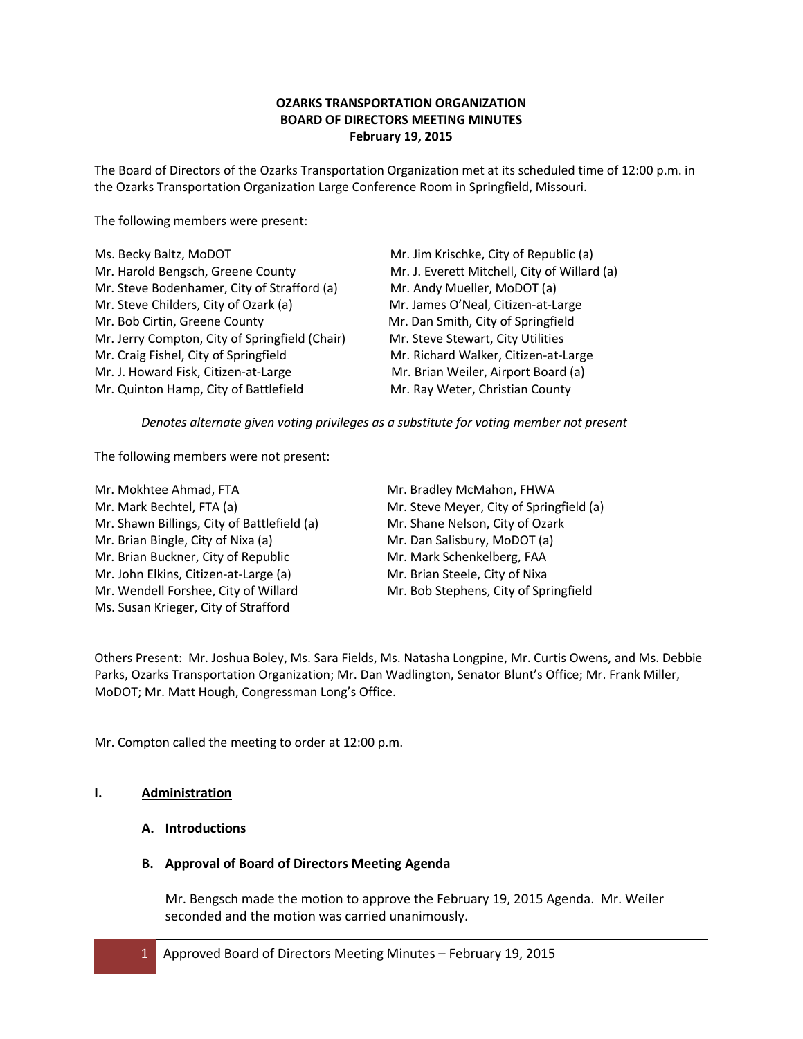# **OZARKS TRANSPORTATION ORGANIZATION BOARD OF DIRECTORS MEETING MINUTES February 19, 2015**

The Board of Directors of the Ozarks Transportation Organization met at its scheduled time of 12:00 p.m. in the Ozarks Transportation Organization Large Conference Room in Springfield, Missouri.

The following members were present:

| Ms. Becky Baltz, MoDOT                         | Mr. Jim Krischke, City of Republic (a)       |
|------------------------------------------------|----------------------------------------------|
| Mr. Harold Bengsch, Greene County              | Mr. J. Everett Mitchell, City of Willard (a) |
| Mr. Steve Bodenhamer, City of Strafford (a)    | Mr. Andy Mueller, MoDOT (a)                  |
| Mr. Steve Childers, City of Ozark (a)          | Mr. James O'Neal, Citizen-at-Large           |
| Mr. Bob Cirtin, Greene County                  | Mr. Dan Smith, City of Springfield           |
| Mr. Jerry Compton, City of Springfield (Chair) | Mr. Steve Stewart, City Utilities            |
| Mr. Craig Fishel, City of Springfield          | Mr. Richard Walker, Citizen-at-Large         |
| Mr. J. Howard Fisk, Citizen-at-Large           | Mr. Brian Weiler, Airport Board (a)          |
| Mr. Quinton Hamp, City of Battlefield          | Mr. Ray Weter, Christian County              |

*Denotes alternate given voting privileges as a substitute for voting member not present*

The following members were not present:

- Mr. Mokhtee Ahmad, FTA Mr. Bradley McMahon, FHWA Mr. Mark Bechtel, FTA (a) The Music Music Mexic Meyer, City of Springfield (a) Mr. Shawn Billings, City of Battlefield (a) Mr. Shane Nelson, City of Ozark Mr. Brian Bingle, City of Nixa (a) Mr. Dan Salisbury, MoDOT (a) Mr. Brian Buckner, City of Republic Mr. Mark Schenkelberg, FAA Mr. John Elkins, Citizen-at-Large (a) Mr. Brian Steele, City of Nixa Mr. Wendell Forshee, City of Willard Mr. Bob Stephens, City of Springfield Ms. Susan Krieger, City of Strafford
- 

Others Present: Mr. Joshua Boley, Ms. Sara Fields, Ms. Natasha Longpine, Mr. Curtis Owens, and Ms. Debbie Parks, Ozarks Transportation Organization; Mr. Dan Wadlington, Senator Blunt's Office; Mr. Frank Miller, MoDOT; Mr. Matt Hough, Congressman Long's Office.

Mr. Compton called the meeting to order at 12:00 p.m.

# **I. Administration**

# **A. Introductions**

# **B. Approval of Board of Directors Meeting Agenda**

Mr. Bengsch made the motion to approve the February 19, 2015 Agenda. Mr. Weiler seconded and the motion was carried unanimously.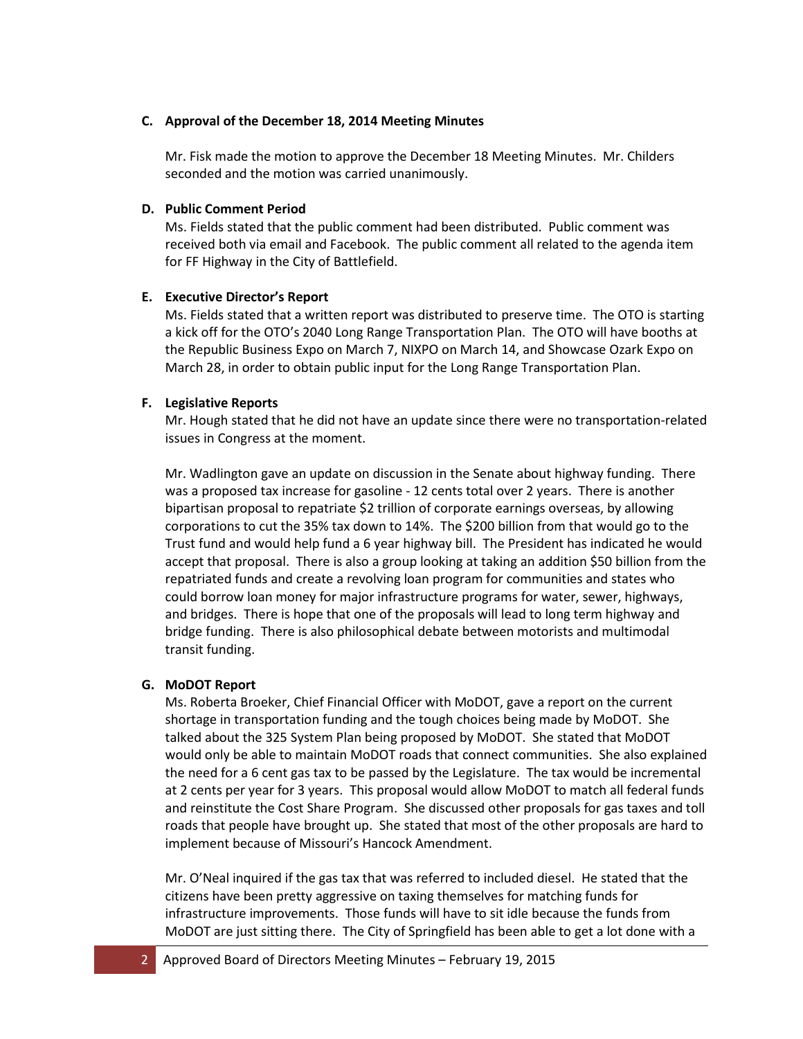## **C. Approval of the December 18, 2014 Meeting Minutes**

Mr. Fisk made the motion to approve the December 18 Meeting Minutes. Mr. Childers seconded and the motion was carried unanimously.

## **D. Public Comment Period**

Ms. Fields stated that the public comment had been distributed. Public comment was received both via email and Facebook. The public comment all related to the agenda item for FF Highway in the City of Battlefield.

## **E. Executive Director's Report**

Ms. Fields stated that a written report was distributed to preserve time. The OTO is starting a kick off for the OTO's 2040 Long Range Transportation Plan. The OTO will have booths at the Republic Business Expo on March 7, NIXPO on March 14, and Showcase Ozark Expo on March 28, in order to obtain public input for the Long Range Transportation Plan.

# **F. Legislative Reports**

Mr. Hough stated that he did not have an update since there were no transportation-related issues in Congress at the moment.

Mr. Wadlington gave an update on discussion in the Senate about highway funding. There was a proposed tax increase for gasoline - 12 cents total over 2 years. There is another bipartisan proposal to repatriate \$2 trillion of corporate earnings overseas, by allowing corporations to cut the 35% tax down to 14%. The \$200 billion from that would go to the Trust fund and would help fund a 6 year highway bill. The President has indicated he would accept that proposal. There is also a group looking at taking an addition \$50 billion from the repatriated funds and create a revolving loan program for communities and states who could borrow loan money for major infrastructure programs for water, sewer, highways, and bridges. There is hope that one of the proposals will lead to long term highway and bridge funding. There is also philosophical debate between motorists and multimodal transit funding.

# **G. MoDOT Report**

Ms. Roberta Broeker, Chief Financial Officer with MoDOT, gave a report on the current shortage in transportation funding and the tough choices being made by MoDOT. She talked about the 325 System Plan being proposed by MoDOT. She stated that MoDOT would only be able to maintain MoDOT roads that connect communities. She also explained the need for a 6 cent gas tax to be passed by the Legislature. The tax would be incremental at 2 cents per year for 3 years. This proposal would allow MoDOT to match all federal funds and reinstitute the Cost Share Program. She discussed other proposals for gas taxes and toll roads that people have brought up. She stated that most of the other proposals are hard to implement because of Missouri's Hancock Amendment.

Mr. O'Neal inquired if the gas tax that was referred to included diesel. He stated that the citizens have been pretty aggressive on taxing themselves for matching funds for infrastructure improvements. Those funds will have to sit idle because the funds from MoDOT are just sitting there. The City of Springfield has been able to get a lot done with a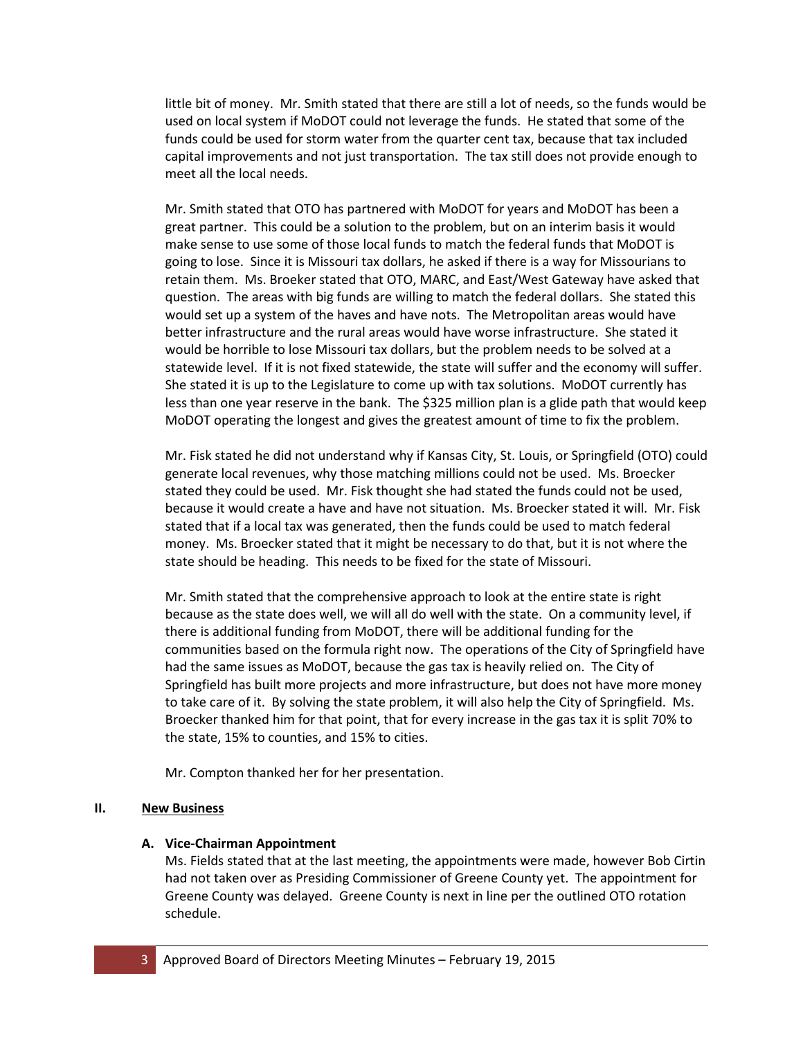little bit of money. Mr. Smith stated that there are still a lot of needs, so the funds would be used on local system if MoDOT could not leverage the funds. He stated that some of the funds could be used for storm water from the quarter cent tax, because that tax included capital improvements and not just transportation. The tax still does not provide enough to meet all the local needs.

Mr. Smith stated that OTO has partnered with MoDOT for years and MoDOT has been a great partner. This could be a solution to the problem, but on an interim basis it would make sense to use some of those local funds to match the federal funds that MoDOT is going to lose. Since it is Missouri tax dollars, he asked if there is a way for Missourians to retain them. Ms. Broeker stated that OTO, MARC, and East/West Gateway have asked that question. The areas with big funds are willing to match the federal dollars. She stated this would set up a system of the haves and have nots. The Metropolitan areas would have better infrastructure and the rural areas would have worse infrastructure. She stated it would be horrible to lose Missouri tax dollars, but the problem needs to be solved at a statewide level. If it is not fixed statewide, the state will suffer and the economy will suffer. She stated it is up to the Legislature to come up with tax solutions. MoDOT currently has less than one year reserve in the bank. The \$325 million plan is a glide path that would keep MoDOT operating the longest and gives the greatest amount of time to fix the problem.

Mr. Fisk stated he did not understand why if Kansas City, St. Louis, or Springfield (OTO) could generate local revenues, why those matching millions could not be used. Ms. Broecker stated they could be used. Mr. Fisk thought she had stated the funds could not be used, because it would create a have and have not situation. Ms. Broecker stated it will. Mr. Fisk stated that if a local tax was generated, then the funds could be used to match federal money. Ms. Broecker stated that it might be necessary to do that, but it is not where the state should be heading. This needs to be fixed for the state of Missouri.

Mr. Smith stated that the comprehensive approach to look at the entire state is right because as the state does well, we will all do well with the state. On a community level, if there is additional funding from MoDOT, there will be additional funding for the communities based on the formula right now. The operations of the City of Springfield have had the same issues as MoDOT, because the gas tax is heavily relied on. The City of Springfield has built more projects and more infrastructure, but does not have more money to take care of it. By solving the state problem, it will also help the City of Springfield. Ms. Broecker thanked him for that point, that for every increase in the gas tax it is split 70% to the state, 15% to counties, and 15% to cities.

Mr. Compton thanked her for her presentation.

### **II. New Business**

### **A. Vice-Chairman Appointment**

Ms. Fields stated that at the last meeting, the appointments were made, however Bob Cirtin had not taken over as Presiding Commissioner of Greene County yet. The appointment for Greene County was delayed. Greene County is next in line per the outlined OTO rotation schedule.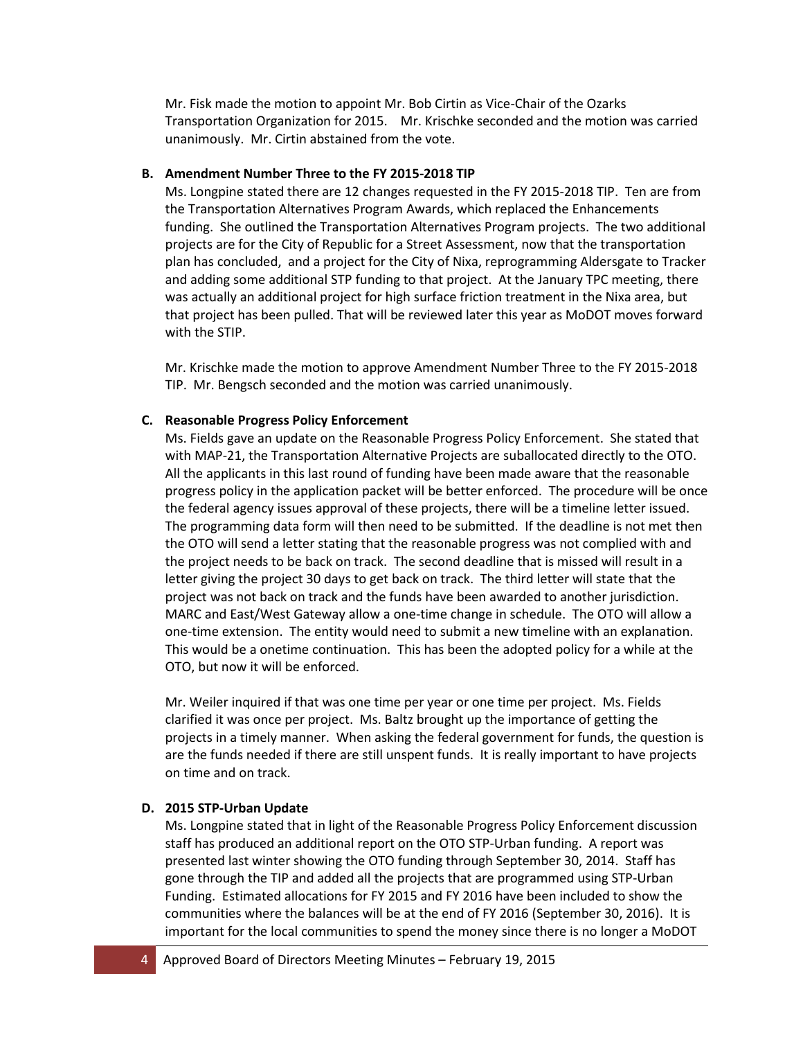Mr. Fisk made the motion to appoint Mr. Bob Cirtin as Vice-Chair of the Ozarks Transportation Organization for 2015. Mr. Krischke seconded and the motion was carried unanimously. Mr. Cirtin abstained from the vote.

### **B. Amendment Number Three to the FY 2015-2018 TIP**

Ms. Longpine stated there are 12 changes requested in the FY 2015-2018 TIP. Ten are from the Transportation Alternatives Program Awards, which replaced the Enhancements funding. She outlined the Transportation Alternatives Program projects. The two additional projects are for the City of Republic for a Street Assessment, now that the transportation plan has concluded, and a project for the City of Nixa, reprogramming Aldersgate to Tracker and adding some additional STP funding to that project. At the January TPC meeting, there was actually an additional project for high surface friction treatment in the Nixa area, but that project has been pulled. That will be reviewed later this year as MoDOT moves forward with the STIP.

Mr. Krischke made the motion to approve Amendment Number Three to the FY 2015-2018 TIP. Mr. Bengsch seconded and the motion was carried unanimously.

# **C. Reasonable Progress Policy Enforcement**

Ms. Fields gave an update on the Reasonable Progress Policy Enforcement. She stated that with MAP-21, the Transportation Alternative Projects are suballocated directly to the OTO. All the applicants in this last round of funding have been made aware that the reasonable progress policy in the application packet will be better enforced. The procedure will be once the federal agency issues approval of these projects, there will be a timeline letter issued. The programming data form will then need to be submitted. If the deadline is not met then the OTO will send a letter stating that the reasonable progress was not complied with and the project needs to be back on track. The second deadline that is missed will result in a letter giving the project 30 days to get back on track. The third letter will state that the project was not back on track and the funds have been awarded to another jurisdiction. MARC and East/West Gateway allow a one-time change in schedule. The OTO will allow a one-time extension. The entity would need to submit a new timeline with an explanation. This would be a onetime continuation. This has been the adopted policy for a while at the OTO, but now it will be enforced.

Mr. Weiler inquired if that was one time per year or one time per project. Ms. Fields clarified it was once per project. Ms. Baltz brought up the importance of getting the projects in a timely manner. When asking the federal government for funds, the question is are the funds needed if there are still unspent funds. It is really important to have projects on time and on track.

# **D. 2015 STP-Urban Update**

Ms. Longpine stated that in light of the Reasonable Progress Policy Enforcement discussion staff has produced an additional report on the OTO STP-Urban funding. A report was presented last winter showing the OTO funding through September 30, 2014. Staff has gone through the TIP and added all the projects that are programmed using STP-Urban Funding. Estimated allocations for FY 2015 and FY 2016 have been included to show the communities where the balances will be at the end of FY 2016 (September 30, 2016). It is important for the local communities to spend the money since there is no longer a MoDOT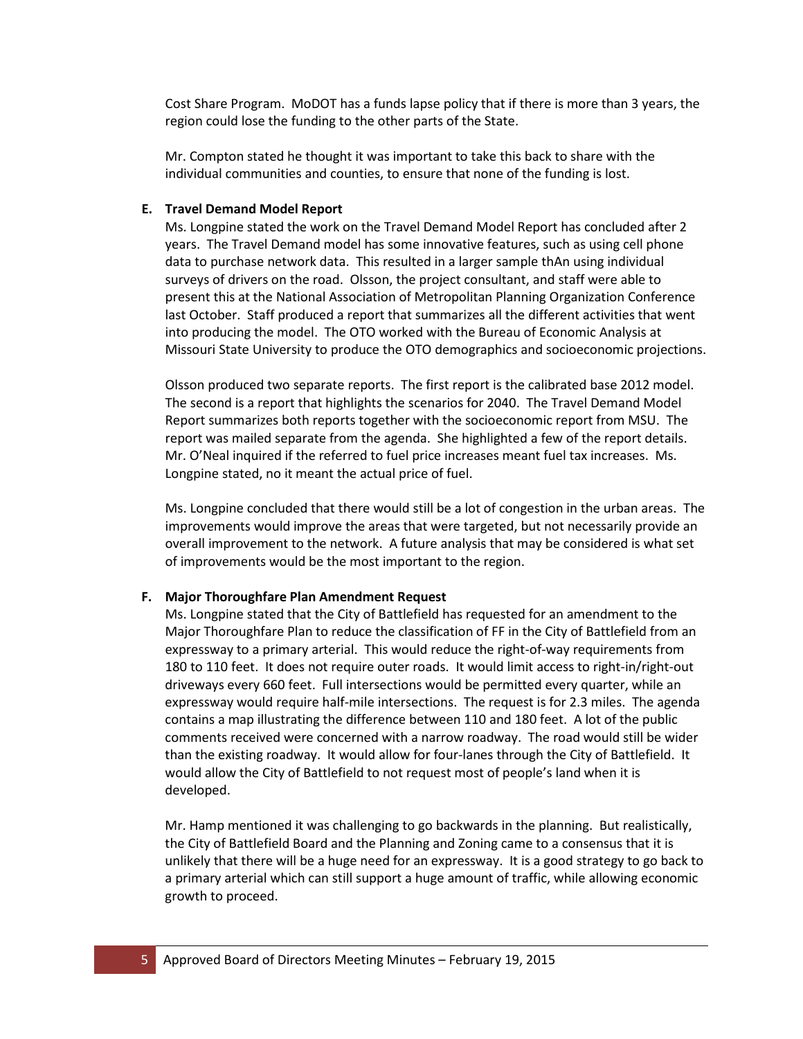Cost Share Program. MoDOT has a funds lapse policy that if there is more than 3 years, the region could lose the funding to the other parts of the State.

Mr. Compton stated he thought it was important to take this back to share with the individual communities and counties, to ensure that none of the funding is lost.

#### **E. Travel Demand Model Report**

Ms. Longpine stated the work on the Travel Demand Model Report has concluded after 2 years. The Travel Demand model has some innovative features, such as using cell phone data to purchase network data. This resulted in a larger sample thAn using individual surveys of drivers on the road. Olsson, the project consultant, and staff were able to present this at the National Association of Metropolitan Planning Organization Conference last October. Staff produced a report that summarizes all the different activities that went into producing the model. The OTO worked with the Bureau of Economic Analysis at Missouri State University to produce the OTO demographics and socioeconomic projections.

Olsson produced two separate reports. The first report is the calibrated base 2012 model. The second is a report that highlights the scenarios for 2040. The Travel Demand Model Report summarizes both reports together with the socioeconomic report from MSU. The report was mailed separate from the agenda. She highlighted a few of the report details. Mr. O'Neal inquired if the referred to fuel price increases meant fuel tax increases. Ms. Longpine stated, no it meant the actual price of fuel.

Ms. Longpine concluded that there would still be a lot of congestion in the urban areas. The improvements would improve the areas that were targeted, but not necessarily provide an overall improvement to the network. A future analysis that may be considered is what set of improvements would be the most important to the region.

#### **F. Major Thoroughfare Plan Amendment Request**

Ms. Longpine stated that the City of Battlefield has requested for an amendment to the Major Thoroughfare Plan to reduce the classification of FF in the City of Battlefield from an expressway to a primary arterial. This would reduce the right-of-way requirements from 180 to 110 feet. It does not require outer roads. It would limit access to right-in/right-out driveways every 660 feet. Full intersections would be permitted every quarter, while an expressway would require half-mile intersections. The request is for 2.3 miles. The agenda contains a map illustrating the difference between 110 and 180 feet. A lot of the public comments received were concerned with a narrow roadway. The road would still be wider than the existing roadway. It would allow for four-lanes through the City of Battlefield. It would allow the City of Battlefield to not request most of people's land when it is developed.

Mr. Hamp mentioned it was challenging to go backwards in the planning. But realistically, the City of Battlefield Board and the Planning and Zoning came to a consensus that it is unlikely that there will be a huge need for an expressway. It is a good strategy to go back to a primary arterial which can still support a huge amount of traffic, while allowing economic growth to proceed.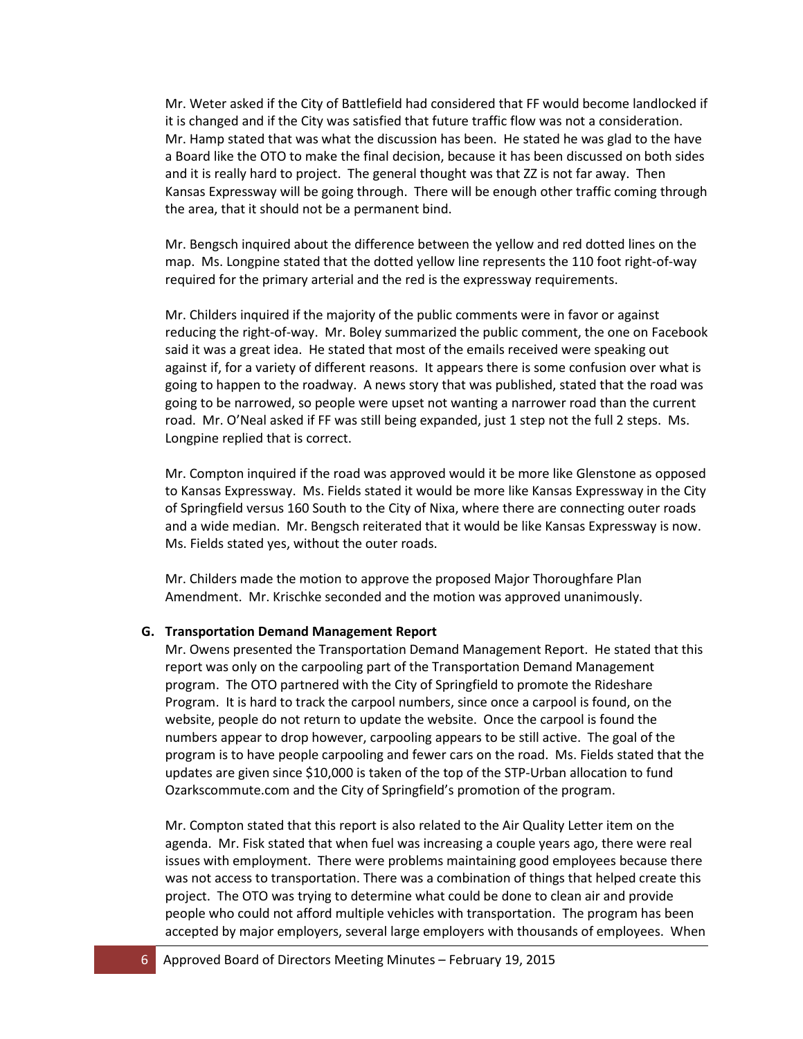Mr. Weter asked if the City of Battlefield had considered that FF would become landlocked if it is changed and if the City was satisfied that future traffic flow was not a consideration. Mr. Hamp stated that was what the discussion has been. He stated he was glad to the have a Board like the OTO to make the final decision, because it has been discussed on both sides and it is really hard to project. The general thought was that ZZ is not far away. Then Kansas Expressway will be going through. There will be enough other traffic coming through the area, that it should not be a permanent bind.

Mr. Bengsch inquired about the difference between the yellow and red dotted lines on the map. Ms. Longpine stated that the dotted yellow line represents the 110 foot right-of-way required for the primary arterial and the red is the expressway requirements.

Mr. Childers inquired if the majority of the public comments were in favor or against reducing the right-of-way. Mr. Boley summarized the public comment, the one on Facebook said it was a great idea. He stated that most of the emails received were speaking out against if, for a variety of different reasons. It appears there is some confusion over what is going to happen to the roadway. A news story that was published, stated that the road was going to be narrowed, so people were upset not wanting a narrower road than the current road. Mr. O'Neal asked if FF was still being expanded, just 1 step not the full 2 steps. Ms. Longpine replied that is correct.

Mr. Compton inquired if the road was approved would it be more like Glenstone as opposed to Kansas Expressway. Ms. Fields stated it would be more like Kansas Expressway in the City of Springfield versus 160 South to the City of Nixa, where there are connecting outer roads and a wide median. Mr. Bengsch reiterated that it would be like Kansas Expressway is now. Ms. Fields stated yes, without the outer roads.

Mr. Childers made the motion to approve the proposed Major Thoroughfare Plan Amendment. Mr. Krischke seconded and the motion was approved unanimously.

### **G. Transportation Demand Management Report**

Mr. Owens presented the Transportation Demand Management Report. He stated that this report was only on the carpooling part of the Transportation Demand Management program. The OTO partnered with the City of Springfield to promote the Rideshare Program. It is hard to track the carpool numbers, since once a carpool is found, on the website, people do not return to update the website. Once the carpool is found the numbers appear to drop however, carpooling appears to be still active. The goal of the program is to have people carpooling and fewer cars on the road. Ms. Fields stated that the updates are given since \$10,000 is taken of the top of the STP-Urban allocation to fund Ozarkscommute.com and the City of Springfield's promotion of the program.

Mr. Compton stated that this report is also related to the Air Quality Letter item on the agenda. Mr. Fisk stated that when fuel was increasing a couple years ago, there were real issues with employment. There were problems maintaining good employees because there was not access to transportation. There was a combination of things that helped create this project. The OTO was trying to determine what could be done to clean air and provide people who could not afford multiple vehicles with transportation. The program has been accepted by major employers, several large employers with thousands of employees. When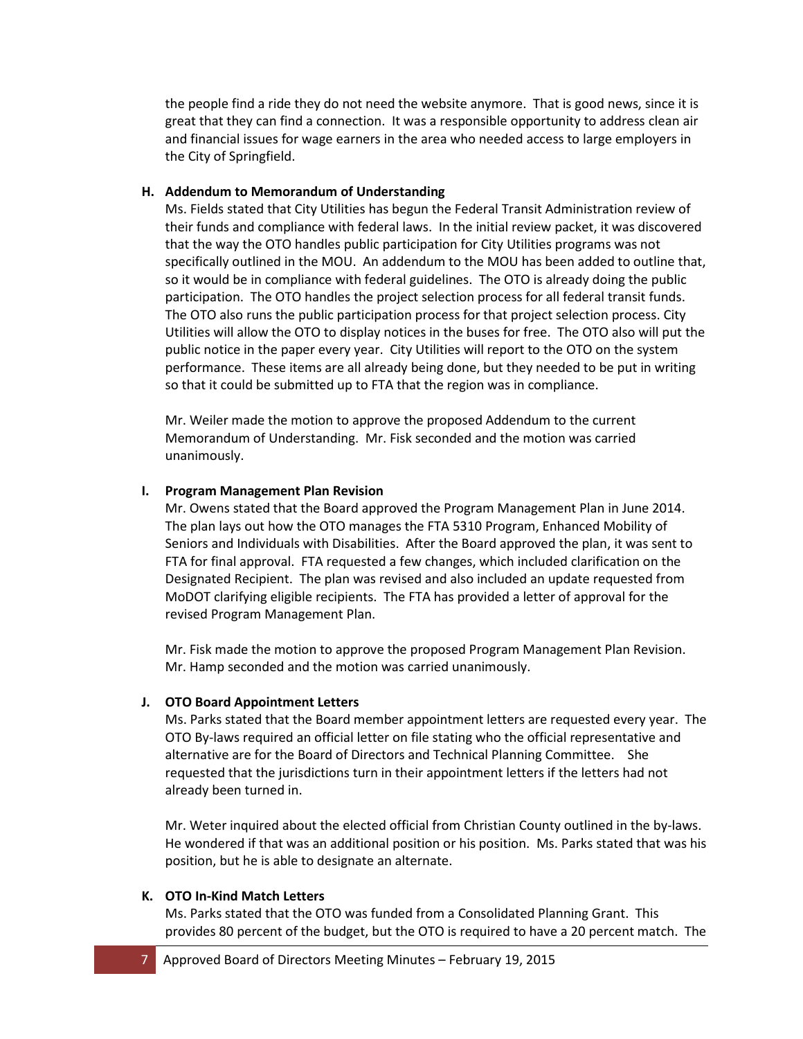the people find a ride they do not need the website anymore. That is good news, since it is great that they can find a connection. It was a responsible opportunity to address clean air and financial issues for wage earners in the area who needed access to large employers in the City of Springfield.

### **H. Addendum to Memorandum of Understanding**

Ms. Fields stated that City Utilities has begun the Federal Transit Administration review of their funds and compliance with federal laws. In the initial review packet, it was discovered that the way the OTO handles public participation for City Utilities programs was not specifically outlined in the MOU. An addendum to the MOU has been added to outline that, so it would be in compliance with federal guidelines. The OTO is already doing the public participation. The OTO handles the project selection process for all federal transit funds. The OTO also runs the public participation process for that project selection process. City Utilities will allow the OTO to display notices in the buses for free. The OTO also will put the public notice in the paper every year. City Utilities will report to the OTO on the system performance. These items are all already being done, but they needed to be put in writing so that it could be submitted up to FTA that the region was in compliance.

Mr. Weiler made the motion to approve the proposed Addendum to the current Memorandum of Understanding. Mr. Fisk seconded and the motion was carried unanimously.

## **I. Program Management Plan Revision**

Mr. Owens stated that the Board approved the Program Management Plan in June 2014. The plan lays out how the OTO manages the FTA 5310 Program, Enhanced Mobility of Seniors and Individuals with Disabilities. After the Board approved the plan, it was sent to FTA for final approval. FTA requested a few changes, which included clarification on the Designated Recipient. The plan was revised and also included an update requested from MoDOT clarifying eligible recipients. The FTA has provided a letter of approval for the revised Program Management Plan.

Mr. Fisk made the motion to approve the proposed Program Management Plan Revision. Mr. Hamp seconded and the motion was carried unanimously.

# **J. OTO Board Appointment Letters**

Ms. Parks stated that the Board member appointment letters are requested every year. The OTO By-laws required an official letter on file stating who the official representative and alternative are for the Board of Directors and Technical Planning Committee. She requested that the jurisdictions turn in their appointment letters if the letters had not already been turned in.

Mr. Weter inquired about the elected official from Christian County outlined in the by-laws. He wondered if that was an additional position or his position. Ms. Parks stated that was his position, but he is able to designate an alternate.

## **K. OTO In-Kind Match Letters**

Ms. Parks stated that the OTO was funded from a Consolidated Planning Grant. This provides 80 percent of the budget, but the OTO is required to have a 20 percent match. The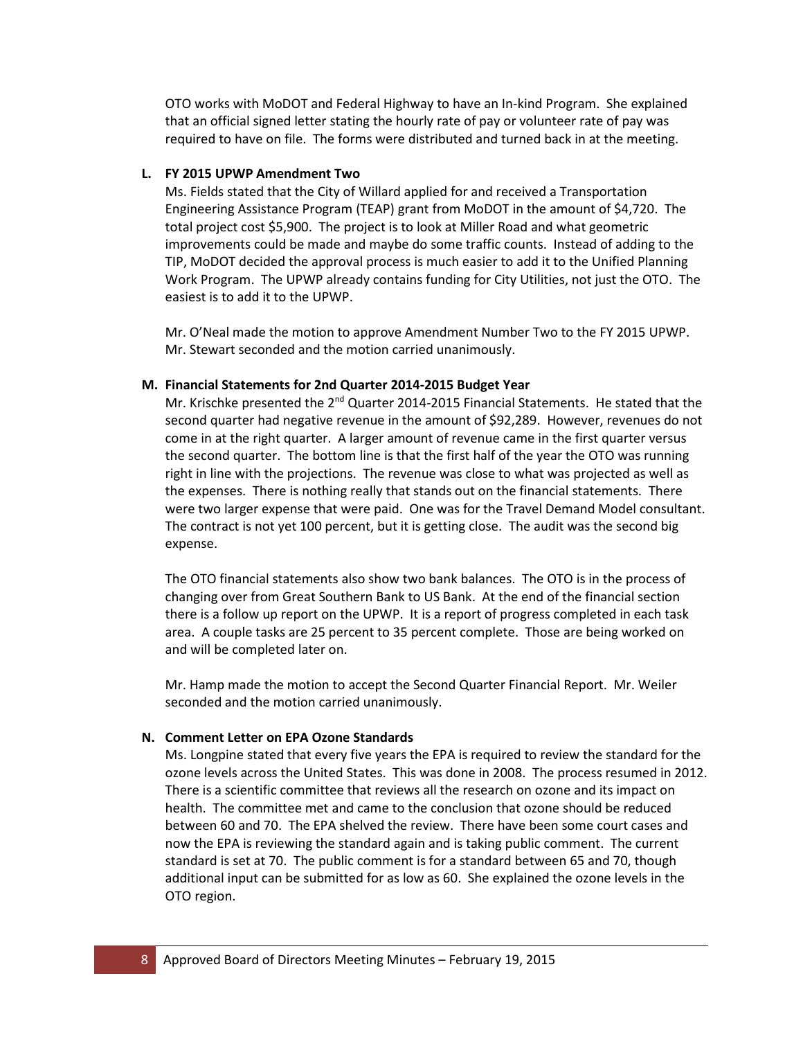OTO works with MoDOT and Federal Highway to have an In-kind Program. She explained that an official signed letter stating the hourly rate of pay or volunteer rate of pay was required to have on file. The forms were distributed and turned back in at the meeting.

### **L. FY 2015 UPWP Amendment Two**

Ms. Fields stated that the City of Willard applied for and received a Transportation Engineering Assistance Program (TEAP) grant from MoDOT in the amount of \$4,720. The total project cost \$5,900. The project is to look at Miller Road and what geometric improvements could be made and maybe do some traffic counts. Instead of adding to the TIP, MoDOT decided the approval process is much easier to add it to the Unified Planning Work Program. The UPWP already contains funding for City Utilities, not just the OTO. The easiest is to add it to the UPWP.

Mr. O'Neal made the motion to approve Amendment Number Two to the FY 2015 UPWP. Mr. Stewart seconded and the motion carried unanimously.

## **M. Financial Statements for 2nd Quarter 2014-2015 Budget Year**

Mr. Krischke presented the  $2<sup>nd</sup>$  Quarter 2014-2015 Financial Statements. He stated that the second quarter had negative revenue in the amount of \$92,289. However, revenues do not come in at the right quarter. A larger amount of revenue came in the first quarter versus the second quarter. The bottom line is that the first half of the year the OTO was running right in line with the projections. The revenue was close to what was projected as well as the expenses. There is nothing really that stands out on the financial statements. There were two larger expense that were paid. One was for the Travel Demand Model consultant. The contract is not yet 100 percent, but it is getting close. The audit was the second big expense.

The OTO financial statements also show two bank balances. The OTO is in the process of changing over from Great Southern Bank to US Bank. At the end of the financial section there is a follow up report on the UPWP. It is a report of progress completed in each task area. A couple tasks are 25 percent to 35 percent complete. Those are being worked on and will be completed later on.

Mr. Hamp made the motion to accept the Second Quarter Financial Report. Mr. Weiler seconded and the motion carried unanimously.

### **N. Comment Letter on EPA Ozone Standards**

Ms. Longpine stated that every five years the EPA is required to review the standard for the ozone levels across the United States. This was done in 2008. The process resumed in 2012. There is a scientific committee that reviews all the research on ozone and its impact on health. The committee met and came to the conclusion that ozone should be reduced between 60 and 70. The EPA shelved the review. There have been some court cases and now the EPA is reviewing the standard again and is taking public comment. The current standard is set at 70. The public comment is for a standard between 65 and 70, though additional input can be submitted for as low as 60. She explained the ozone levels in the OTO region.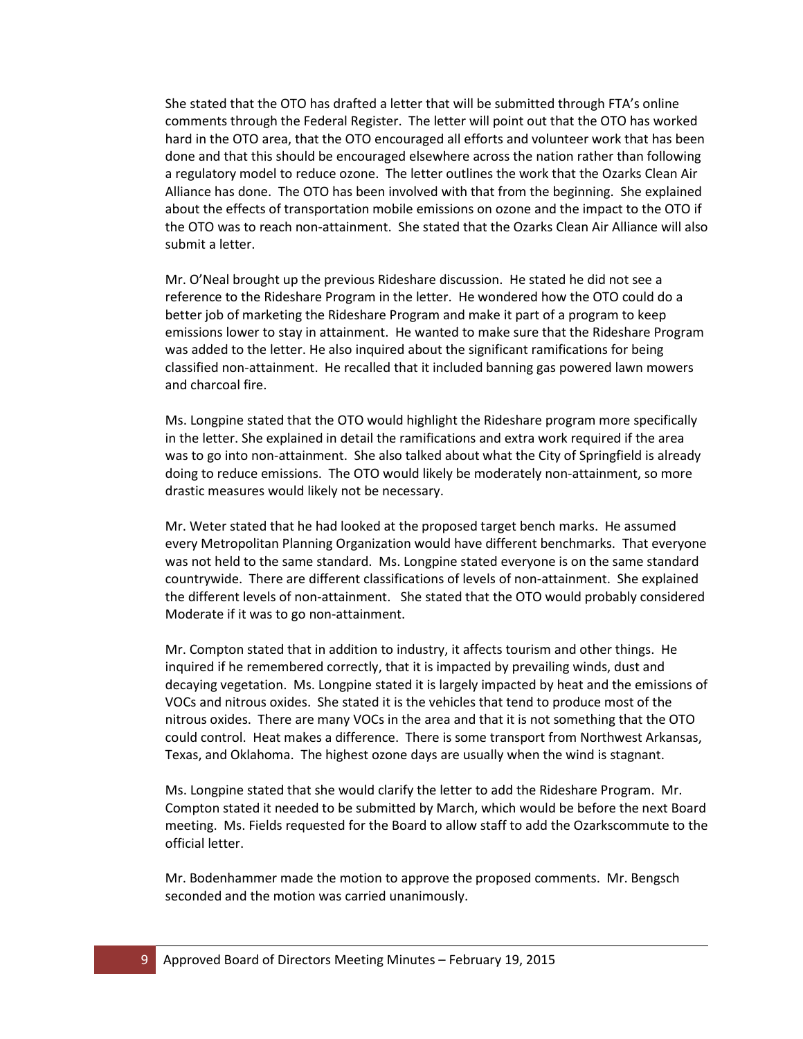She stated that the OTO has drafted a letter that will be submitted through FTA's online comments through the Federal Register. The letter will point out that the OTO has worked hard in the OTO area, that the OTO encouraged all efforts and volunteer work that has been done and that this should be encouraged elsewhere across the nation rather than following a regulatory model to reduce ozone. The letter outlines the work that the Ozarks Clean Air Alliance has done. The OTO has been involved with that from the beginning. She explained about the effects of transportation mobile emissions on ozone and the impact to the OTO if the OTO was to reach non-attainment. She stated that the Ozarks Clean Air Alliance will also submit a letter.

Mr. O'Neal brought up the previous Rideshare discussion. He stated he did not see a reference to the Rideshare Program in the letter. He wondered how the OTO could do a better job of marketing the Rideshare Program and make it part of a program to keep emissions lower to stay in attainment. He wanted to make sure that the Rideshare Program was added to the letter. He also inquired about the significant ramifications for being classified non-attainment. He recalled that it included banning gas powered lawn mowers and charcoal fire.

Ms. Longpine stated that the OTO would highlight the Rideshare program more specifically in the letter. She explained in detail the ramifications and extra work required if the area was to go into non-attainment. She also talked about what the City of Springfield is already doing to reduce emissions. The OTO would likely be moderately non-attainment, so more drastic measures would likely not be necessary.

Mr. Weter stated that he had looked at the proposed target bench marks. He assumed every Metropolitan Planning Organization would have different benchmarks. That everyone was not held to the same standard. Ms. Longpine stated everyone is on the same standard countrywide. There are different classifications of levels of non-attainment. She explained the different levels of non-attainment. She stated that the OTO would probably considered Moderate if it was to go non-attainment.

Mr. Compton stated that in addition to industry, it affects tourism and other things. He inquired if he remembered correctly, that it is impacted by prevailing winds, dust and decaying vegetation. Ms. Longpine stated it is largely impacted by heat and the emissions of VOCs and nitrous oxides. She stated it is the vehicles that tend to produce most of the nitrous oxides. There are many VOCs in the area and that it is not something that the OTO could control. Heat makes a difference. There is some transport from Northwest Arkansas, Texas, and Oklahoma. The highest ozone days are usually when the wind is stagnant.

Ms. Longpine stated that she would clarify the letter to add the Rideshare Program. Mr. Compton stated it needed to be submitted by March, which would be before the next Board meeting. Ms. Fields requested for the Board to allow staff to add the Ozarkscommute to the official letter.

Mr. Bodenhammer made the motion to approve the proposed comments. Mr. Bengsch seconded and the motion was carried unanimously.